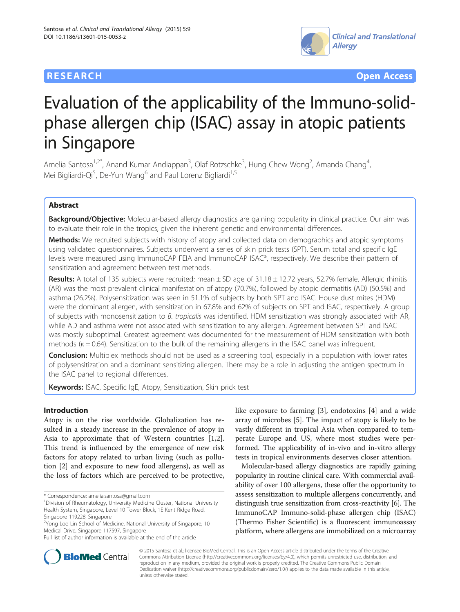## **RESEARCH CHE Open Access**



# Evaluation of the applicability of the Immuno-solidphase allergen chip (ISAC) assay in atopic patients in Singapore

Amelia Santosa<sup>1,2\*</sup>, Anand Kumar Andiappan<sup>3</sup>, Olaf Rotzschke<sup>3</sup>, Hung Chew Wong<sup>2</sup>, Amanda Chang<sup>4</sup> , Mei Bigliardi-Qi<sup>5</sup>, De-Yun Wang<sup>6</sup> and Paul Lorenz Bigliardi<sup>1,5</sup>

## Abstract

Background/Objective: Molecular-based allergy diagnostics are gaining popularity in clinical practice. Our aim was to evaluate their role in the tropics, given the inherent genetic and environmental differences.

**Methods:** We recruited subjects with history of atopy and collected data on demographics and atopic symptoms using validated questionnaires. Subjects underwent a series of skin prick tests (SPT). Serum total and specific IgE levels were measured using ImmunoCAP FEIA and ImmunoCAP ISAC®, respectively. We describe their pattern of sensitization and agreement between test methods.

**Results:** A total of 135 subjects were recruited; mean  $\pm$  SD age of 31.18  $\pm$  12.72 years, 52.7% female. Allergic rhinitis (AR) was the most prevalent clinical manifestation of atopy (70.7%), followed by atopic dermatitis (AD) (50.5%) and asthma (26.2%). Polysensitization was seen in 51.1% of subjects by both SPT and ISAC. House dust mites (HDM) were the dominant allergen, with sensitization in 67.8% and 62% of subjects on SPT and ISAC, respectively. A group of subjects with monosensitization to B. tropicalis was identified. HDM sensitization was strongly associated with AR, while AD and asthma were not associated with sensitization to any allergen. Agreement between SPT and ISAC was mostly suboptimal. Greatest agreement was documented for the measurement of HDM sensitization with both methods ( $k = 0.64$ ). Sensitization to the bulk of the remaining allergens in the ISAC panel was infrequent.

**Conclusion:** Multiplex methods should not be used as a screening tool, especially in a population with lower rates of polysensitization and a dominant sensitizing allergen. There may be a role in adjusting the antigen spectrum in the ISAC panel to regional differences.

Keywords: ISAC, Specific IgE, Atopy, Sensitization, Skin prick test

#### Introduction

Atopy is on the rise worldwide. Globalization has resulted in a steady increase in the prevalence of atopy in Asia to approximate that of Western countries [\[1,2](#page-8-0)]. This trend is influenced by the emergence of new risk factors for atopy related to urban living (such as pollution [[2\]](#page-8-0) and exposure to new food allergens), as well as the loss of factors which are perceived to be protective,

like exposure to farming [\[3](#page-8-0)], endotoxins [[4](#page-8-0)] and a wide array of microbes [\[5](#page-8-0)]. The impact of atopy is likely to be vastly different in tropical Asia when compared to temperate Europe and US, where most studies were performed. The applicability of in-vivo and in-vitro allergy tests in tropical environments deserves closer attention.

Molecular-based allergy diagnostics are rapidly gaining popularity in routine clinical care. With commercial availability of over 100 allergens, these offer the opportunity to assess sensitization to multiple allergens concurrently, and distinguish true sensitization from cross-reactivity [\[6\]](#page-8-0). The ImmunoCAP Immuno-solid-phase allergen chip (ISAC) (Thermo Fisher Scientific) is a fluorescent immunoassay platform, where allergens are immobilized on a microarray



© 2015 Santosa et al.; licensee BioMed Central. This is an Open Access article distributed under the terms of the Creative Commons Attribution License [\(http://creativecommons.org/licenses/by/4.0\)](http://creativecommons.org/licenses/by/4.0), which permits unrestricted use, distribution, and reproduction in any medium, provided the original work is properly credited. The Creative Commons Public Domain Dedication waiver [\(http://creativecommons.org/publicdomain/zero/1.0/](http://creativecommons.org/publicdomain/zero/1.0/)) applies to the data made available in this article, unless otherwise stated.

<sup>\*</sup> Correspondence: [amelia.santosa@gmail.com](mailto:amelia.santosa@gmail.com) <sup>1</sup>

<sup>&</sup>lt;sup>1</sup> Division of Rheumatology, University Medicine Cluster, National University Health System, Singapore, Level 10 Tower Block, 1E Kent Ridge Road, Singapore 119228, Singapore

<sup>&</sup>lt;sup>2</sup>Yong Loo Lin School of Medicine, National University of Singapore, 10 Medical Drive, Singapore 117597, Singapore

Full list of author information is available at the end of the article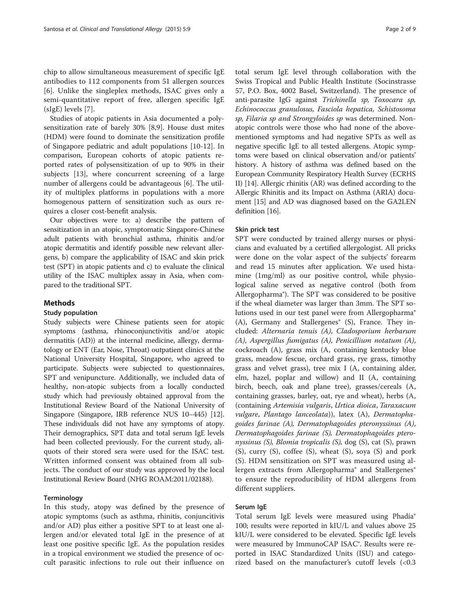chip to allow simultaneous measurement of specific IgE antibodies to 112 components from 51 allergen sources [[6\]](#page-8-0). Unlike the singleplex methods, ISAC gives only a semi-quantitative report of free, allergen specific IgE (sIgE) levels [\[7](#page-8-0)].

Studies of atopic patients in Asia documented a polysensitization rate of barely 30% [[8,9\]](#page-8-0). House dust mites (HDM) were found to dominate the sensitization profile of Singapore pediatric and adult populations [[10-12\]](#page-8-0). In comparison, European cohorts of atopic patients reported rates of polysensitization of up to 90% in their subjects [[13](#page-8-0)], where concurrent screening of a large number of allergens could be advantageous [[6\]](#page-8-0). The utility of multiplex platforms in populations with a more homogenous pattern of sensitization such as ours requires a closer cost-benefit analysis.

Our objectives were to: a) describe the pattern of sensitization in an atopic, symptomatic Singapore-Chinese adult patients with bronchial asthma, rhinitis and/or atopic dermatitis and identify possible new relevant allergens, b) compare the applicability of ISAC and skin prick test (SPT) in atopic patients and c) to evaluate the clinical utility of the ISAC multiplex assay in Asia, when compared to the traditional SPT.

#### Methods

#### Study population

Study subjects were Chinese patients seen for atopic symptoms (asthma, rhinoconjunctivitis and/or atopic dermatitis (AD)) at the internal medicine, allergy, dermatology or ENT (Ear, Nose, Throat) outpatient clinics at the National University Hospital, Singapore, who agreed to participate. Subjects were subjected to questionnaires, SPT and venipuncture. Additionally, we included data of healthy, non-atopic subjects from a locally conducted study which had previously obtained approval from the Institutional Review Board of the National University of Singapore (Singapore, IRB reference NUS 10–445) [[12](#page-8-0)]. These individuals did not have any symptoms of atopy. Their demographics, SPT data and total serum IgE levels had been collected previously. For the current study, aliquots of their stored sera were used for the ISAC test. Written informed consent was obtained from all subjects. The conduct of our study was approved by the local Institutional Review Board (NHG ROAM:2011/02188).

## **Terminology**

In this study, atopy was defined by the presence of atopic symptoms (such as asthma, rhinitis, conjuncitivis and/or AD) plus either a positive SPT to at least one allergen and/or elevated total IgE in the presence of at least one positive specific IgE. As the population resides in a tropical environment we studied the presence of occult parasitic infections to rule out their influence on

total serum IgE level through collaboration with the Swiss Tropical and Public Health Institute (Socinstrasse 57, P.O. Box, 4002 Basel, Switzerland). The presence of anti-parasite IgG against Trichinella sp, Toxocara sp, Echinococcus granulosus, Fasciola hepatica, Schistosoma sp, Filaria sp and Strongyloides sp was determined. Nonatopic controls were those who had none of the abovementioned symptoms and had negative SPTs as well as negative specific IgE to all tested allergens. Atopic symptoms were based on clinical observation and/or patients' history. A history of asthma was defined based on the European Community Respiratory Health Survey (ECRHS II) [\[14\]](#page-8-0). Allergic rhinitis (AR) was defined according to the Allergic Rhinitis and its Impact on Asthma (ARIA) document [\[15\]](#page-8-0) and AD was diagnosed based on the GA2LEN definition [[16](#page-8-0)].

#### Skin prick test

SPT were conducted by trained allergy nurses or physicians and evaluated by a certified allergologist. All pricks were done on the volar aspect of the subjects' forearm and read 15 minutes after application. We used histamine (1mg/ml) as our positive control, while physiological saline served as negative control (both from Allergopharma®). The SPT was considered to be positive if the wheal diameter was larger than 3mm. The SPT solutions used in our test panel were from Allergopharma® (A), Germany and Stallergenes® (S), France. They included: Alternaria tenuis (A), Cladosporium herbarum (A), Aspergillus fumigatus (A), Penicillium notatum (A), cockroach (A), grass mix (A, containing kentucky blue grass, meadow fescue, orchard grass, rye grass, timothy grass and velvet grass), tree mix I (A, containing alder, elm, hazel, poplar and willow) and II (A, containing birch, beech, oak and plane tree), grasses/cereals (A, containing grasses, barley, oat, rye and wheat), herbs (A, (containing Artemisia vulgaris, Urtica dioica, Taraxacum vulgare, Plantago lanceolata)), latex (A), Dermatophagoides farinae (A), Dermatophagoides pteronyssinus (A), Dermatophagoides farinae (S), Dermatophagoides pteronyssinus (S), Blomia tropicalis (S), dog (S), cat (S), prawn (S), curry (S), coffee (S), wheat (S), soya (S) and pork (S). HDM sensitization on SPT was measured using allergen extracts from Allergopharma<sup>®</sup> and Stallergenes<sup>®</sup> to ensure the reproducibility of HDM allergens from different suppliers.

#### Serum IgE

Total serum IgE levels were measured using Phadia® 100; results were reported in kIU/L and values above 25 kIU/L were considered to be elevated. Specific IgE levels were measured by ImmunoCAP ISAC®. Results were reported in ISAC Standardized Units (ISU) and categorized based on the manufacturer's cutoff levels (<0.3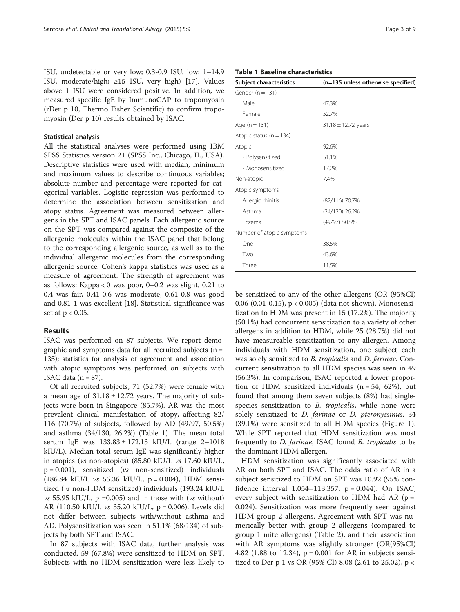ISU, undetectable or very low; 0.3-0.9 ISU, low; 1–14.9 ISU, moderate/high; ≥15 ISU, very high) [\[17](#page-8-0)]. Values above 1 ISU were considered positive. In addition, we measured specific IgE by ImmunoCAP to tropomyosin (rDer p 10, Thermo Fisher Scientific) to confirm tropomyosin (Der p 10) results obtained by ISAC.

#### Statistical analysis

All the statistical analyses were performed using IBM SPSS Statistics version 21 (SPSS Inc., Chicago, IL, USA). Descriptive statistics were used with median, minimum and maximum values to describe continuous variables; absolute number and percentage were reported for categorical variables. Logistic regression was performed to determine the association between sensitization and atopy status. Agreement was measured between allergens in the SPT and ISAC panels. Each allergenic source on the SPT was compared against the composite of the allergenic molecules within the ISAC panel that belong to the corresponding allergenic source, as well as to the individual allergenic molecules from the corresponding allergenic source. Cohen's kappa statistics was used as a measure of agreement. The strength of agreement was as follows: Kappa < 0 was poor, 0–0.2 was slight, 0.21 to 0.4 was fair, 0.41-0.6 was moderate, 0.61-0.8 was good and 0.81-1 was excellent [\[18\]](#page-8-0). Statistical significance was set at p < 0.05.

#### Results

ISAC was performed on 87 subjects. We report demographic and symptoms data for all recruited subjects ( $n =$ 135); statistics for analysis of agreement and association with atopic symptoms was performed on subjects with ISAC data  $(n = 87)$ .

Of all recruited subjects, 71 (52.7%) were female with a mean age of  $31.18 \pm 12.72$  years. The majority of subjects were born in Singapore (85.7%). AR was the most prevalent clinical manifestation of atopy, affecting 82/ 116 (70.7%) of subjects, followed by AD (49/97, 50.5%) and asthma (34/130, 26.2%) (Table 1). The mean total serum IgE was 133.83 ± 172.13 kIU/L (range 2–1018 kIU/L). Median total serum IgE was significantly higher in atopics (vs non-atopics) (85.80 kIU/L vs 17.60 kIU/L,  $p = 0.001$ ), sensitized (*vs* non-sensitized) individuals  $(186.84 \text{ kIU/L } vs \text{ 55.36 } \text{klU/L }, \text{ p} = 0.004)$ , HDM sensitized (vs non-HDM sensitized) individuals (193.24 kIU/L  $vs$  55.95 kIU/L,  $p = 0.005$ ) and in those with ( $vs$  without) AR (110.50 kIU/L vs 35.20 kIU/L, p = 0.006). Levels did not differ between subjects with/without asthma and AD. Polysensitization was seen in 51.1% (68/134) of subjects by both SPT and ISAC.

In 87 subjects with ISAC data, further analysis was conducted. 59 (67.8%) were sensitized to HDM on SPT. Subjects with no HDM sensitization were less likely to

## Table 1 Baseline characteristics

| Subject characteristics     | (n=135 unless otherwise specified) |
|-----------------------------|------------------------------------|
| Gender ( $n = 131$ )        |                                    |
| Male                        | 47.3%                              |
| Female                      | 52.7%                              |
| Age $(n = 131)$             | $31.18 \pm 12.72$ years            |
| Atopic status ( $n = 134$ ) |                                    |
| Atopic                      | 92.6%                              |
| - Polysensitized            | 51.1%                              |
| - Monosensitized            | 17.2%                              |
| Non-atopic                  | 7.4%                               |
| Atopic symptoms             |                                    |
| Allergic rhinitis           | (82/116) 70.7%                     |
| Asthma                      | (34/130) 26.2%                     |
| Fczema                      | (49/97) 50.5%                      |
| Number of atopic symptoms   |                                    |
| One                         | 38.5%                              |
| Two                         | 43.6%                              |
| Three                       | 11.5%                              |

be sensitized to any of the other allergens (OR (95%CI) 0.06 (0.01-0.15), p < 0.005) (data not shown). Monosensitization to HDM was present in 15 (17.2%). The majority (50.1%) had concurrent sensitization to a variety of other allergens in addition to HDM, while 25 (28.7%) did not have measureable sensitization to any allergen. Among individuals with HDM sensitization, one subject each was solely sensitized to B. tropicalis and D. farinae. Concurrent sensitization to all HDM species was seen in 49 (56.3%). In comparison, ISAC reported a lower proportion of HDM sensitized individuals  $(n = 54, 62\%)$ , but found that among them seven subjects (8%) had singlespecies sensitization to *B. tropicalis*, while none were solely sensitized to *D. farinae* or *D. pteronyssinus*. 34 (39.1%) were sensitized to all HDM species (Figure [1](#page-3-0)). While SPT reported that HDM sensitization was most frequently to D. farinae, ISAC found B. tropicalis to be the dominant HDM allergen.

HDM sensitization was significantly associated with AR on both SPT and ISAC. The odds ratio of AR in a subject sensitized to HDM on SPT was 10.92 (95% confidence interval 1.054–113.357, p = 0.044). On ISAC, every subject with sensitization to HDM had AR ( $p =$ 0.024). Sensitization was more frequently seen against HDM group 2 allergens. Agreement with SPT was numerically better with group 2 allergens (compared to group 1 mite allergens) (Table [2\)](#page-3-0), and their association with AR symptoms was slightly stronger (OR(95%CI) 4.82 (1.88 to 12.34), p = 0.001 for AR in subjects sensitized to Der p 1 vs OR (95% CI) 8.08 (2.61 to 25.02), p <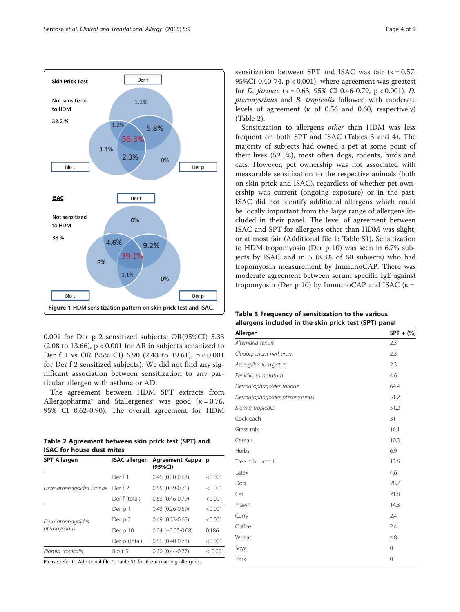<span id="page-3-0"></span>

0.001 for Der p 2 sensitized subjects; OR(95%CI) 5.33  $(2.08 \text{ to } 13.66)$ , p < 0.001 for AR in subjects sensitized to Der f 1 vs OR (95% CI) 6.90 (2.43 to 19.61), p < 0.001 for Der f 2 sensitized subjects). We did not find any significant association between sensitization to any particular allergen with asthma or AD.

The agreement between HDM SPT extracts from Allergopharma<sup>®</sup> and Stallergenes<sup>®</sup> was good ( $\kappa = 0.76$ , 95% CI 0.62-0.90). The overall agreement for HDM

| Table 2 Agreement between skin prick test (SPT) and |  |  |  |
|-----------------------------------------------------|--|--|--|
| <b>ISAC for house dust mites</b>                    |  |  |  |

| <b>SPT Allergen</b>              | <b>ISAC allergen</b> | Agreement Kappa<br>(95%CI) | p       |
|----------------------------------|----------------------|----------------------------|---------|
|                                  | Der f 1              | $0.46(0.30-0.63)$          | < 0.001 |
| Dermatophagoides farinae Der f 2 |                      | $0.55(0.39-0.71)$          | < 0.001 |
|                                  | Der f (total)        | $0.63$ $(0.46 - 0.79)$     | < 0.001 |
|                                  | Der p 1              | $0.43(0.26 - 0.59)$        | < 0.001 |
| Dermatophagoides                 | Der p 2              | $0.49(0.33 - 0.65)$        | < 0.001 |
| pteronyssinus                    | Der p 10             | $0.04 (-0.05 - 0.08)$      | 0.186   |
|                                  | Der p (total)        | $0.56$ (0.40-0.73)         | < 0.001 |
| Blomia tropicalis                | Blo t 5              | $0.60(0.44 - 0.77)$        | < 0.001 |

Please refer to Additional file [1:](#page-7-0) Table S1 for the remaining allergens.

sensitization between SPT and ISAC was fair ( $\kappa = 0.57$ , 95%CI 0.40-74, p < 0.001), where agreement was greatest for D. farinae (κ = 0.63, 95% CI 0.46-0.79, p < 0.001). D. pteronyssinus and B. tropicalis followed with moderate levels of agreement (κ of 0.56 and 0.60, respectively) (Table 2).

Sensitization to allergens other than HDM was less frequent on both SPT and ISAC (Tables 3 and [4\)](#page-4-0). The majority of subjects had owned a pet at some point of their lives (59.1%), most often dogs, rodents, birds and cats. However, pet ownership was not associated with measurable sensitization to the respective animals (both on skin prick and ISAC), regardless of whether pet ownership was current (ongoing exposure) or in the past. ISAC did not identify additional allergens which could be locally important from the large range of allergens included in their panel. The level of agreement between ISAC and SPT for allergens other than HDM was slight, or at most fair (Additional file [1:](#page-7-0) Table S1). Sensitization to HDM tropomyosin (Der p 10) was seen in 6.7% subjects by ISAC and in 5 (8.3% of 60 subjects) who had tropomyosin measurement by ImmunoCAP. There was moderate agreement between serum specific IgE against tropomyosin (Der p 10) by ImmunoCAP and ISAC (κ =

Table 3 Frequency of sensitization to the various allergens included in the skin prick test (SPT) panel

| Allergen                       | $SPT + (%)$ |
|--------------------------------|-------------|
| Alternaria tenuis              | 2.3         |
| Cladosporium herbarum          | 2.3         |
| Aspergillus fumigatus          | 2.3         |
| Penicillium notatum            | 4.6         |
| Dermatophagoides farinae       | 64.4        |
| Dermatophagoides pteronyssinus | 51.2        |
| Blomia tropicalis              | 51.2        |
| Cockroach                      | 31          |
| Grass mix                      | 16.1        |
| Cereals                        | 10.3        |
| Herbs                          | 6.9         |
| Tree mix I and II              | 12.6        |
| Latex                          | 4.6         |
| Dog                            | 28.7        |
| Cat                            | 21.8        |
| Prawn                          | 14.3        |
| Curry                          | 2.4         |
| Coffee                         | 2.4         |
| Wheat                          | 4.8         |
| Soya                           | $\mathbf 0$ |
| Pork                           | $\mathbf 0$ |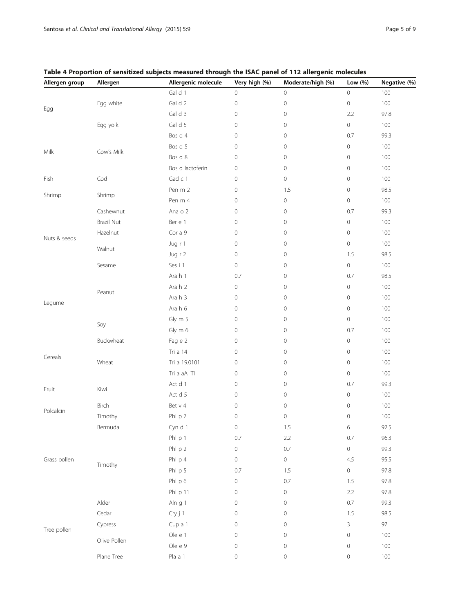| Allergen group | Allergen     | Allergenic molecule | Very high (%)       | Moderate/high (%)   | Low $(\%)$          | Negative (%) |
|----------------|--------------|---------------------|---------------------|---------------------|---------------------|--------------|
|                |              | Gal d 1             | $\circ$             | $\circ$             | 0                   | 100          |
|                | Egg white    | Gal d 2             | 0                   | $\mathbf 0$         | $\mathbf 0$         | 100          |
| Egg            |              | Gal d 3             | 0                   | $\mathbf 0$         | 2.2                 | 97.8         |
|                | Egg yolk     | Gal d 5             | 0                   | 0                   | 0                   | 100          |
|                |              | Bos d 4             | 0                   | $\mathbf 0$         | 0.7                 | 99.3         |
| Milk           | Cow's Milk   | Bos d 5             | 0                   | 0                   | 0                   | 100          |
|                |              | Bos d 8             | 0                   | $\mathbf 0$         | 0                   | 100          |
|                |              | Bos d lactoferin    | 0                   | $\mathbf 0$         | $\circ$             | 100          |
| Fish           | Cod          | Gad c 1             | 0                   | $\mathbf 0$         | $\mathbf 0$         | 100          |
|                |              | Pen m 2             | 0                   | 1.5                 | 0                   | 98.5         |
| Shrimp         | Shrimp       | Pen m 4             | 0                   | $\mathbb O$         | $\circ$             | 100          |
|                | Cashewnut    | Ana o 2             | 0                   | $\mathbf 0$         | 0.7                 | 99.3         |
|                | Brazil Nut   | Ber e 1             | 0                   | 0                   | 0                   | 100          |
|                | Hazelnut     | Cor a 9             | 0                   | 0                   | $\circ$             | 100          |
| Nuts & seeds   |              | Jug r 1             | 0                   | $\mathbf 0$         | $\mathbf 0$         | 100          |
|                | Walnut       | Jug r 2             | 0                   | 0                   | 1.5                 | 98.5         |
|                | Sesame       | Ses i 1             | 0                   | 0                   | $\mathsf{O}\xspace$ | 100          |
|                |              | Ara h 1             | 0.7                 | 0                   | 0.7                 | 98.5         |
|                |              | Ara h 2             | 0                   | 0                   | 0                   | 100          |
|                | Peanut       | Ara h 3             | 0                   | $\mathbf 0$         | $\circ$             | 100          |
| Legume         |              | Ara h 6             | 0                   | $\mathbb O$         | 0                   | 100          |
|                | Soy          | Gly m 5             | 0                   | 0                   | 0                   | 100          |
|                |              | Gly m 6             | 0                   | 0                   | 0.7                 | 100          |
|                | Buckwheat    | Fag e 2             | 0                   | $\mathbb O$         | $\mathsf{O}\xspace$ | 100          |
|                |              | Tri a 14            | 0                   | 0                   | $\mathbf 0$         | 100          |
| Cereals        | Wheat        | Tri a 19.0101       | 0                   | 0                   | $\circ$             | 100          |
|                |              | Tri a aA_TI         | 0                   | $\mathbb O$         | 0                   | 100          |
|                |              | Act d 1             | 0                   | 0                   | 0.7                 | 99.3         |
| Fruit          | Kiwi         | Act d 5             | 0                   | 0                   | 0                   | 100          |
|                | Birch        | Bet v 4             | 0                   | 0                   | $\mathbf 0$         | 100          |
| Polcalcin      | Timothy      | Phl p 7             | 0                   | $\mathbf{0}$        | $\mathbf 0$         | 100          |
|                | Bermuda      | Cyn d 1             | $\mathbf 0$         | $1.5\,$             | 6                   | 92.5         |
|                |              | Phl p 1             | 0.7                 | 2.2                 | 0.7                 | 96.3         |
|                |              | Phl p 2             | $\mathsf{O}\xspace$ | $0.7\,$             | 0                   | 99.3         |
| Grass pollen   |              | Phl p 4             | 0                   | $\mathsf{O}\xspace$ | 4.5                 | 95.5         |
|                | Timothy      | Phl p 5             | 0.7                 | 1.5                 | $\mathsf{O}\xspace$ | 97.8         |
|                |              | Phl p 6             | 0                   | 0.7                 | 1.5                 | 97.8         |
|                |              | Phl p 11            | $\circ$             | $\mathbb O$         | 2.2                 | 97.8         |
|                | Alder        | Aln g 1             | 0                   | $\mathbf 0$         | 0.7                 | 99.3         |
|                | Cedar        | Cry j 1             | $\mathbf 0$         | $\mathbb O$         | 1.5                 | 98.5         |
|                | Cypress      | Cup a 1             | $\circ$             | $\circ$             | 3                   | 97           |
| Tree pollen    |              | Ole e 1             | 0                   | $\mathbf 0$         | $\mathbf 0$         | 100          |
|                | Olive Pollen | Ole e 9             | $\mathsf{O}\xspace$ | $\mathbb O$         | $\mathbf 0$         | 100          |
|                | Plane Tree   | Pla a 1             | $\circ$             | $\mathsf{O}\xspace$ | $\mathbf 0$         | 100          |

## <span id="page-4-0"></span>Table 4 Proportion of sensitized subjects measured through the ISAC panel of 112 allergenic molecules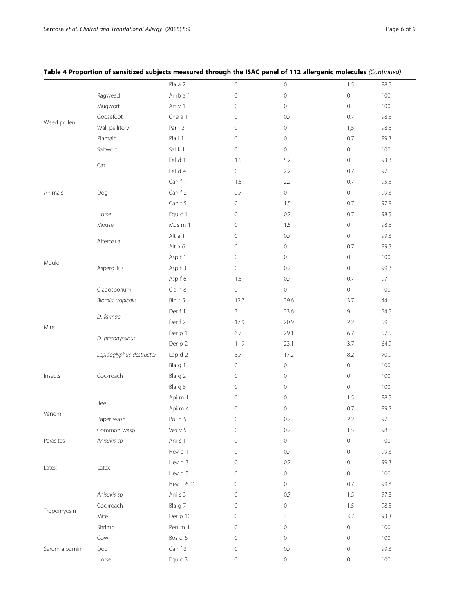|               |                          | Pla a 2    | $\circ$             | $\mathbf 0$         | 1.5                 | 98.5 |
|---------------|--------------------------|------------|---------------------|---------------------|---------------------|------|
|               | Ragweed                  | Amb a 1    | $\mathbb O$         | $\mathsf{O}\xspace$ | $\mathbf 0$         | 100  |
|               | Mugwort                  | Art v 1    | $\mathbf 0$         | 0                   | $\circ$             | 100  |
|               | Goosefoot                | Che a 1    | $\mathsf{O}\xspace$ | 0.7                 | 0.7                 | 98.5 |
| Weed pollen   | Wall pellitory           | Par j 2    | 0                   | 0                   | 1,5                 | 98.5 |
|               | Plantain                 | $Pla$   1  | $\mathsf{O}\xspace$ | 0                   | 0.7                 | 99.3 |
|               | Saltwort                 | Sal k 1    | $\mathsf{O}\xspace$ | $\mathsf{O}\xspace$ | $\mathsf{O}\xspace$ | 100  |
|               |                          | Fel d 1    | 1.5                 | 5.2                 | $\mathsf{O}\xspace$ | 93.3 |
|               | Cat                      | Fel d 4    | $\circ$             | 2.2                 | 0.7                 | 97   |
|               |                          | Can f 1    | 1.5                 | 2.2                 | 0.7                 | 95.5 |
| Animals       | Dog                      | Can f 2    | 0.7                 | 0                   | $\mathsf{O}\xspace$ | 99.3 |
|               |                          | Can f 5    | 0                   | 1.5                 | 0.7                 | 97.8 |
|               | Horse                    | Equ c 1    | 0                   | 0.7                 | 0.7                 | 98.5 |
|               | Mouse                    | Mus m 1    | 0                   | 1.5                 | 0                   | 98.5 |
|               |                          | Alt a 1    | $\mathbf 0$         | 0.7                 | $\circ$             | 99.3 |
|               | Alternaria               | Alt a 6    | $\mathbf 0$         | $\mathsf{O}\xspace$ | 0.7                 | 99.3 |
| Mould         |                          | Asp f 1    | 0                   | $\mathsf{O}\xspace$ | $\mathsf{O}\xspace$ | 100  |
|               | Aspergillus              | Asp f 3    | 0                   | 0.7                 | $\circ$             | 99.3 |
|               |                          | Asp f 6    | 1.5                 | 0.7                 | 0.7                 | 97   |
|               | Cladosporium             | Cla h 8    | 0                   | $\mathsf{O}\xspace$ | $\mathsf{O}\xspace$ | 100  |
|               | Blomia tropicalis        | Blo t 5    | 12.7                | 39.6                | 3.7                 | $44$ |
|               |                          | Der f 1    | 3                   | 33.6                | $\mathcal{G}$       | 54.5 |
| Mite          | D. farinae               | Der f 2    | 17.9                | 20.9                | 2.2                 | 59   |
|               |                          | Der p 1    | 6.7                 | 29.1                | 6.7                 | 57.5 |
|               | D. pteronyssinus         | Der p 2    | 11.9                | 23.1                | 3.7                 | 64.9 |
|               | Lepidoglyphus destructor | Lep d 2    | 3.7                 | 17.2                | 8.2                 | 70.9 |
|               |                          | Bla g 1    | 0                   | 0                   | $\circ$             | 100  |
| Insects       | Cockroach                | Bla g 2    | 0                   | 0                   | $\circ$             | 100  |
|               |                          | Bla g 5    | 0                   | $\mathbf 0$         | $\circ$             | 100  |
|               | Bee                      | Api m 1    | 0                   | 0                   | 1.5                 | 98.5 |
|               |                          | Api m 4    | $\mathbf 0$         | 0                   | 0.7                 | 99.3 |
| Venom         | Paper wasp               | Pol d 5    | $\mathbf 0$         | 0.7                 | $2.2\,$             | 97   |
|               | Common wasp              | Ves v 5    | $\mathbf 0$         | 0.7                 | 1.5                 | 98.8 |
| Parasites     | Anisakis sp.             | Ani s 1    | $\mathbf 0$         | 0                   | $\mathbf 0$         | 100  |
|               |                          | Hev b 1    | 0                   | $0.7\,$             | 0                   | 99.3 |
|               |                          | Hev b 3    | 0                   | 0.7                 | 0                   | 99.3 |
| Latex         | Latex                    | Hev b 5    | 0                   | $\mathsf{O}\xspace$ | 0                   | 100  |
|               |                          | Hev b 6.01 | 0                   | $\mathsf{O}\xspace$ | 0.7                 | 99.3 |
|               | Anisakis sp.             | Ani s 3    | 0                   | 0.7                 | 1.5                 | 97.8 |
|               | Cockroach                | Bla g 7    | $\mathbf 0$         | $\mathsf{O}\xspace$ | 1.5                 | 98.5 |
| Tropomyosin   | Mite                     | Der p 10   | 0                   | 3                   | 3.7                 | 93.3 |
|               | Shrimp                   | Pen m 1    | 0                   | 0                   | 0                   | 100  |
|               | Cow                      | Bos d 6    | $\mathbf 0$         | $\mathsf{O}\xspace$ | 0                   | 100  |
| Serum albumin | Dog                      | Can f 3    | 0                   | 0.7                 | 0                   | 99.3 |
|               | Horse                    | Equ c 3    | $\mathsf{O}\xspace$ | 0                   | $\mathbf 0$         | 100  |

## Table 4 Proportion of sensitized subjects measured through the ISAC panel of 112 allergenic molecules (Continued)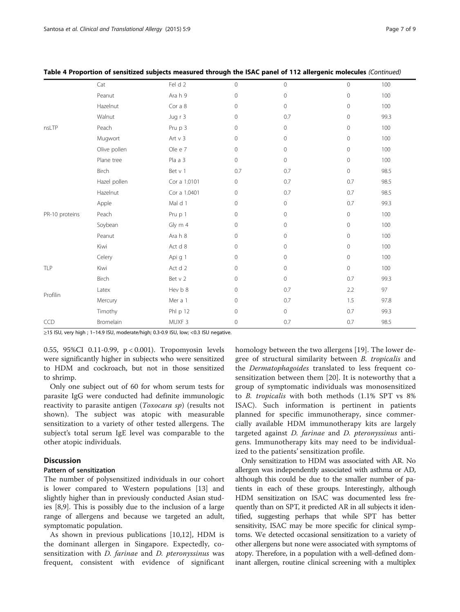|                | Cat          | Fel d 2           | $\circledcirc$ | $\circ$      | $\mathbf 0$    | 100  |
|----------------|--------------|-------------------|----------------|--------------|----------------|------|
|                | Peanut       | Ara h 9           | $\mathbf 0$    | $\mathbb O$  | $\mathbf 0$    | 100  |
|                | Hazelnut     | Cor a 8           | $\overline{0}$ | $\mathbf{0}$ | $\overline{0}$ | 100  |
|                | Walnut       | Jug r 3           | $\mathbf 0$    | 0.7          | $\overline{0}$ | 99.3 |
| nsLTP          | Peach        | Pru p 3           | $\mathbf 0$    | $\mathbb O$  | 0              | 100  |
|                | Mugwort      | Art v 3           | $\mathbf 0$    | $\mathbb O$  | $\mathbf 0$    | 100  |
|                | Olive pollen | Ole e 7           | $\mathbf 0$    | $\mathbb O$  | $\overline{0}$ | 100  |
|                | Plane tree   | Pla a 3           | $\circ$        | $\mathbf{O}$ | $\overline{0}$ | 100  |
|                | <b>Birch</b> | Bet v 1           | 0.7            | 0.7          | $\mathbf 0$    | 98.5 |
|                | Hazel pollen | Cor a 1.0101      | $\circ$        | 0.7          | 0.7            | 98.5 |
|                | Hazelnut     | Cor a 1.0401      | $\mathbf 0$    | 0.7          | 0.7            | 98.5 |
|                | Apple        | Mal d 1           | $\overline{0}$ | $\circ$      | 0.7            | 99.3 |
| PR-10 proteins | Peach        | Pru p 1           | $\overline{0}$ | $\mathbf{0}$ | $\circ$        | 100  |
|                | Soybean      | Gly m 4           | $\mathbf 0$    | $\mathbf 0$  | $\mathbf 0$    | 100  |
|                | Peanut       | Ara h 8           | $\mathbf 0$    | $\mathbf 0$  | $\overline{0}$ | 100  |
|                | Kiwi         | Act d 8           | $\mathbf 0$    | $\circ$      | $\overline{0}$ | 100  |
|                | Celery       | Api g 1           | $\mathbf 0$    | $\mathbf 0$  | 0              | 100  |
| <b>TLP</b>     | Kiwi         | Act d 2           | $\mathbf 0$    | $\circ$      | $\circ$        | 100  |
|                | <b>Birch</b> | Bet v 2           | $\mathbf 0$    | $\circ$      | 0.7            | 99.3 |
| Profilin       | Latex        | Hev b 8           | $\mathbf 0$    | 0.7          | 2.2            | 97   |
|                | Mercury      | Mer a 1           | $\mathbf 0$    | 0.7          | 1.5            | 97.8 |
|                | Timothy      | Phl p 12          | $\overline{0}$ | $\mathbf 0$  | 0.7            | 99.3 |
| <b>CCD</b>     | Bromelain    | MUXF <sub>3</sub> | $\mathbf 0$    | 0.7          | 0.7            | 98.5 |

| Table 4 Proportion of sensitized subjects measured through the ISAC panel of 112 allergenic molecules (Continued, |  |  |  |  |
|-------------------------------------------------------------------------------------------------------------------|--|--|--|--|
|-------------------------------------------------------------------------------------------------------------------|--|--|--|--|

≥15 ISU, very high ; 1–14.9 ISU, moderate/high; 0.3-0.9 ISU, low; <0.3 ISU negative.

0.55, 95%CI 0.11-0.99, p < 0.001). Tropomyosin levels were significantly higher in subjects who were sensitized to HDM and cockroach, but not in those sensitized to shrimp.

Only one subject out of 60 for whom serum tests for parasite IgG were conducted had definite immunologic reactivity to parasite antigen (*Toxocara sp*) (results not shown). The subject was atopic with measurable sensitization to a variety of other tested allergens. The subject's total serum IgE level was comparable to the other atopic individuals.

## **Discussion**

## Pattern of sensitization

The number of polysensitized individuals in our cohort is lower compared to Western populations [\[13](#page-8-0)] and slightly higher than in previously conducted Asian studies [\[8,9](#page-8-0)]. This is possibly due to the inclusion of a large range of allergens and because we targeted an adult, symptomatic population.

As shown in previous publications [[10,12](#page-8-0)], HDM is the dominant allergen in Singapore. Expectedly, cosensitization with *D. farinae* and *D. pteronyssinus* was frequent, consistent with evidence of significant homology between the two allergens [\[19](#page-8-0)]. The lower degree of structural similarity between B. tropicalis and the Dermatophagoides translated to less frequent cosensitization between them [\[20](#page-8-0)]. It is noteworthy that a group of symptomatic individuals was monosensitized to B. tropicalis with both methods (1.1% SPT vs 8% ISAC). Such information is pertinent in patients planned for specific immunotherapy, since commercially available HDM immunotherapy kits are largely targeted against D. farinae and D. pteronyssinus antigens. Immunotherapy kits may need to be individualized to the patients' sensitization profile.

Only sensitization to HDM was associated with AR. No allergen was independently associated with asthma or AD, although this could be due to the smaller number of patients in each of these groups. Interestingly, although HDM sensitization on ISAC was documented less frequently than on SPT, it predicted AR in all subjects it identified, suggesting perhaps that while SPT has better sensitivity, ISAC may be more specific for clinical symptoms. We detected occasional sensitization to a variety of other allergens but none were associated with symptoms of atopy. Therefore, in a population with a well-defined dominant allergen, routine clinical screening with a multiplex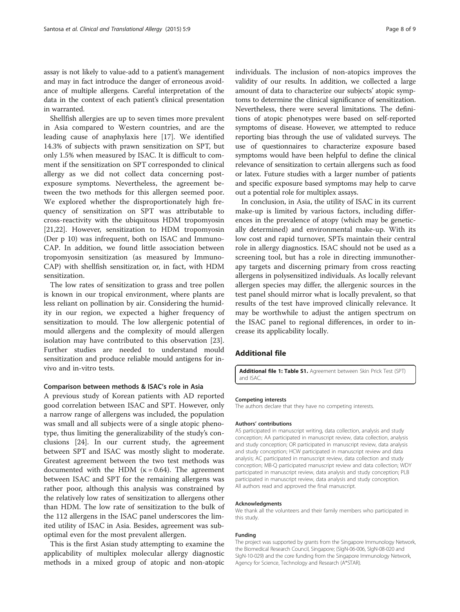<span id="page-7-0"></span>assay is not likely to value-add to a patient's management and may in fact introduce the danger of erroneous avoidance of multiple allergens. Careful interpretation of the data in the context of each patient's clinical presentation in warranted.

Shellfish allergies are up to seven times more prevalent in Asia compared to Western countries, and are the leading cause of anaphylaxis here [[17\]](#page-8-0). We identified 14.3% of subjects with prawn sensitization on SPT, but only 1.5% when measured by ISAC. It is difficult to comment if the sensitization on SPT corresponded to clinical allergy as we did not collect data concerning postexposure symptoms. Nevertheless, the agreement between the two methods for this allergen seemed poor. We explored whether the disproportionately high frequency of sensitization on SPT was attributable to cross-reactivity with the ubiquitous HDM tropomyosin [[21,22\]](#page-8-0). However, sensitization to HDM tropomyosin (Der p 10) was infrequent, both on ISAC and Immuno-CAP. In addition, we found little association between tropomyosin sensitization (as measured by Immuno-CAP) with shellfish sensitization or, in fact, with HDM sensitization.

The low rates of sensitization to grass and tree pollen is known in our tropical environment, where plants are less reliant on pollination by air. Considering the humidity in our region, we expected a higher frequency of sensitization to mould. The low allergenic potential of mould allergens and the complexity of mould allergen isolation may have contributed to this observation [\[23](#page-8-0)]. Further studies are needed to understand mould sensitization and produce reliable mould antigens for invivo and in-vitro tests.

## Comparison between methods & ISAC's role in Asia

A previous study of Korean patients with AD reported good correlation between ISAC and SPT. However, only a narrow range of allergens was included, the population was small and all subjects were of a single atopic phenotype, thus limiting the generalizability of the study's conclusions [[24\]](#page-8-0). In our current study, the agreement between SPT and ISAC was mostly slight to moderate. Greatest agreement between the two test methods was documented with the HDM ( $\kappa = 0.64$ ). The agreement between ISAC and SPT for the remaining allergens was rather poor, although this analysis was constrained by the relatively low rates of sensitization to allergens other than HDM. The low rate of sensitization to the bulk of the 112 allergens in the ISAC panel underscores the limited utility of ISAC in Asia. Besides, agreement was suboptimal even for the most prevalent allergen.

This is the first Asian study attempting to examine the applicability of multiplex molecular allergy diagnostic methods in a mixed group of atopic and non-atopic individuals. The inclusion of non-atopics improves the validity of our results. In addition, we collected a large amount of data to characterize our subjects' atopic symptoms to determine the clinical significance of sensitization. Nevertheless, there were several limitations. The definitions of atopic phenotypes were based on self-reported symptoms of disease. However, we attempted to reduce reporting bias through the use of validated surveys. The use of questionnaires to characterize exposure based symptoms would have been helpful to define the clinical relevance of sensitization to certain allergens such as food or latex. Future studies with a larger number of patients and specific exposure based symptoms may help to carve out a potential role for multiplex assays.

In conclusion, in Asia, the utility of ISAC in its current make-up is limited by various factors, including differences in the prevalence of atopy (which may be genetically determined) and environmental make-up. With its low cost and rapid turnover, SPTs maintain their central role in allergy diagnostics. ISAC should not be used as a screening tool, but has a role in directing immunotherapy targets and discerning primary from cross reacting allergens in polysensitized individuals. As locally relevant allergen species may differ, the allergenic sources in the test panel should mirror what is locally prevalent, so that results of the test have improved clinically relevance. It may be worthwhile to adjust the antigen spectrum on the ISAC panel to regional differences, in order to increase its applicability locally.

## Additional file

[Additional file 1: Table S1.](http://www.ctajournal.com/content/supplementary/s13601-015-0053-z-s1.docx) Agreement between Skin Prick Test (SPT) and ISAC.

#### Competing interests

The authors declare that they have no competing interests.

#### Authors' contributions

AS participated in manuscript writing, data collection, analysis and study conception; AA participated in manuscript review, data collection, analysis and study conception; OR participated in manuscript review, data analysis and study conception; HCW participated in manuscript review and data analysis; AC participated in manuscript review, data collection and study conception; MB-Q participated manuscript review and data collection; WDY participated in manuscript review, data analysis and study conception; PLB participated in manuscript review, data analysis and study conception. All authors read and approved the final manuscript.

#### Acknowledgments

We thank all the volunteers and their family members who participated in this study.

#### Funding

The project was supported by grants from the Singapore Immunology Network, the Biomedical Research Council, Singapore; (SIgN-06-006, SIgN-08-020 and SIgN-10-029) and the core funding from the Singapore Immunology Network, Agency for Science, Technology and Research (A\*STAR).